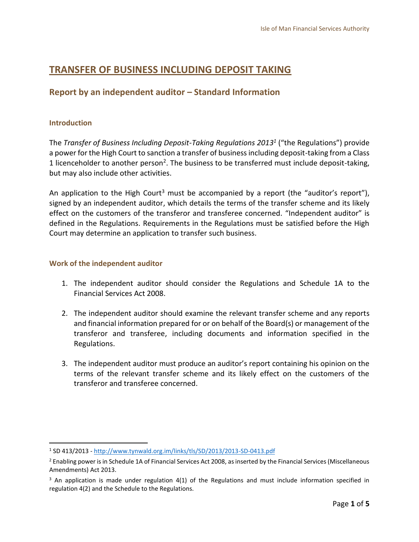## **TRANSFER OF BUSINESS INCLUDING DEPOSIT TAKING**

## **Report by an independent auditor – Standard Information**

#### **Introduction**

 $\overline{a}$ 

The *Transfer of Business Including Deposit-Taking Regulations 2013<sup>1</sup>* ("the Regulations") provide a power for the High Court to sanction a transfer of business including deposit-taking from a Class 1 licenceholder to another person<sup>2</sup>. The business to be transferred must include deposit-taking, but may also include other activities.

An application to the High Court<sup>3</sup> must be accompanied by a report (the "auditor's report"), signed by an independent auditor, which details the terms of the transfer scheme and its likely effect on the customers of the transferor and transferee concerned. "Independent auditor" is defined in the Regulations. Requirements in the Regulations must be satisfied before the High Court may determine an application to transfer such business.

#### **Work of the independent auditor**

- 1. The independent auditor should consider the Regulations and Schedule 1A to the Financial Services Act 2008.
- 2. The independent auditor should examine the relevant transfer scheme and any reports and financial information prepared for or on behalf of the Board(s) or management of the transferor and transferee, including documents and information specified in the Regulations.
- 3. The independent auditor must produce an auditor's report containing his opinion on the terms of the relevant transfer scheme and its likely effect on the customers of the transferor and transferee concerned.

<sup>1</sup> SD 413/2013 - <http://www.tynwald.org.im/links/tls/SD/2013/2013-SD-0413.pdf>

<sup>&</sup>lt;sup>2</sup> Enabling power is in Schedule 1A of Financial Services Act 2008, as inserted by the Financial Services (Miscellaneous Amendments) Act 2013.

 $3$  An application is made under regulation 4(1) of the Regulations and must include information specified in regulation 4(2) and the Schedule to the Regulations.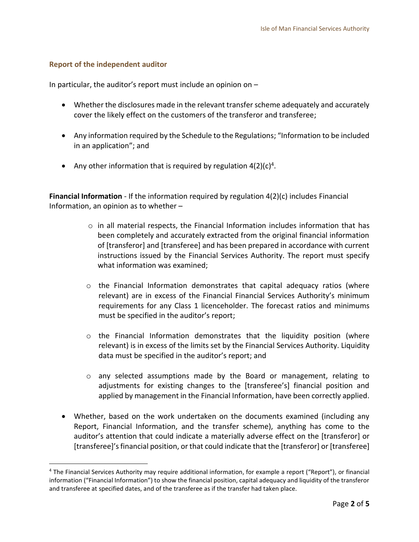#### **Report of the independent auditor**

 $\overline{a}$ 

In particular, the auditor's report must include an opinion on –

- Whether the disclosures made in the relevant transfer scheme adequately and accurately cover the likely effect on the customers of the transferor and transferee;
- Any information required by the Schedule to the Regulations; "Information to be included in an application"; and
- Any other information that is required by regulation  $4(2)(c)^4$ .

**Financial Information** - If the information required by regulation 4(2)(c) includes Financial Information, an opinion as to whether –

- $\circ$  in all material respects, the Financial Information includes information that has been completely and accurately extracted from the original financial information of [transferor] and [transferee] and has been prepared in accordance with current instructions issued by the Financial Services Authority. The report must specify what information was examined;
- o the Financial Information demonstrates that capital adequacy ratios (where relevant) are in excess of the Financial Financial Services Authority's minimum requirements for any Class 1 licenceholder. The forecast ratios and minimums must be specified in the auditor's report;
- $\circ$  the Financial Information demonstrates that the liquidity position (where relevant) is in excess of the limits set by the Financial Services Authority. Liquidity data must be specified in the auditor's report; and
- o any selected assumptions made by the Board or management, relating to adjustments for existing changes to the [transferee's] financial position and applied by management in the Financial Information, have been correctly applied.
- Whether, based on the work undertaken on the documents examined (including any Report, Financial Information, and the transfer scheme), anything has come to the auditor's attention that could indicate a materially adverse effect on the [transferor] or [transferee]'s financial position, or that could indicate that the [transferor] or [transferee]

<sup>4</sup> The Financial Services Authority may require additional information, for example a report ("Report"), or financial information ("Financial Information") to show the financial position, capital adequacy and liquidity of the transferor and transferee at specified dates, and of the transferee as if the transfer had taken place.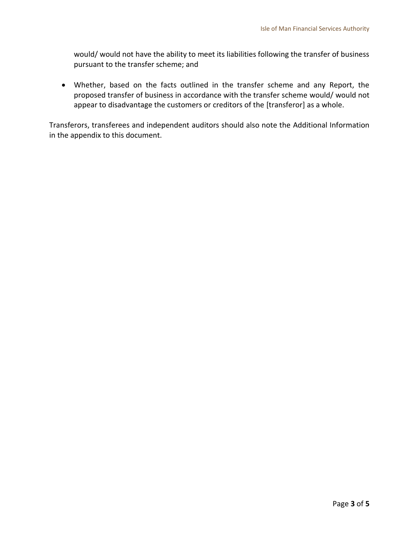would/ would not have the ability to meet its liabilities following the transfer of business pursuant to the transfer scheme; and

 Whether, based on the facts outlined in the transfer scheme and any Report, the proposed transfer of business in accordance with the transfer scheme would/ would not appear to disadvantage the customers or creditors of the [transferor] as a whole.

Transferors, transferees and independent auditors should also note the Additional Information in the appendix to this document.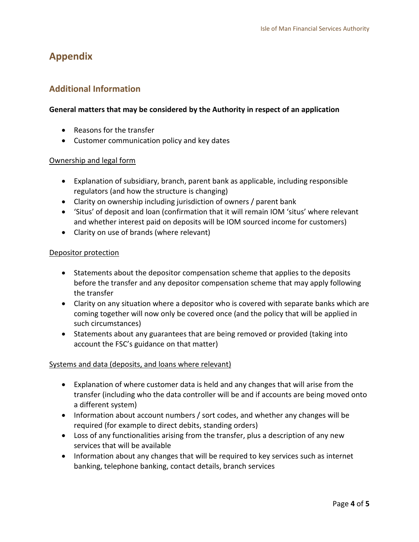# **Appendix**

## **Additional Information**

#### **General matters that may be considered by the Authority in respect of an application**

- Reasons for the transfer
- Customer communication policy and key dates

#### Ownership and legal form

- Explanation of subsidiary, branch, parent bank as applicable, including responsible regulators (and how the structure is changing)
- Clarity on ownership including jurisdiction of owners / parent bank
- 'Situs' of deposit and loan (confirmation that it will remain IOM 'situs' where relevant and whether interest paid on deposits will be IOM sourced income for customers)
- Clarity on use of brands (where relevant)

#### Depositor protection

- Statements about the depositor compensation scheme that applies to the deposits before the transfer and any depositor compensation scheme that may apply following the transfer
- Clarity on any situation where a depositor who is covered with separate banks which are coming together will now only be covered once (and the policy that will be applied in such circumstances)
- Statements about any guarantees that are being removed or provided (taking into account the FSC's guidance on that matter)

#### Systems and data (deposits, and loans where relevant)

- Explanation of where customer data is held and any changes that will arise from the transfer (including who the data controller will be and if accounts are being moved onto a different system)
- Information about account numbers / sort codes, and whether any changes will be required (for example to direct debits, standing orders)
- Loss of any functionalities arising from the transfer, plus a description of any new services that will be available
- Information about any changes that will be required to key services such as internet banking, telephone banking, contact details, branch services